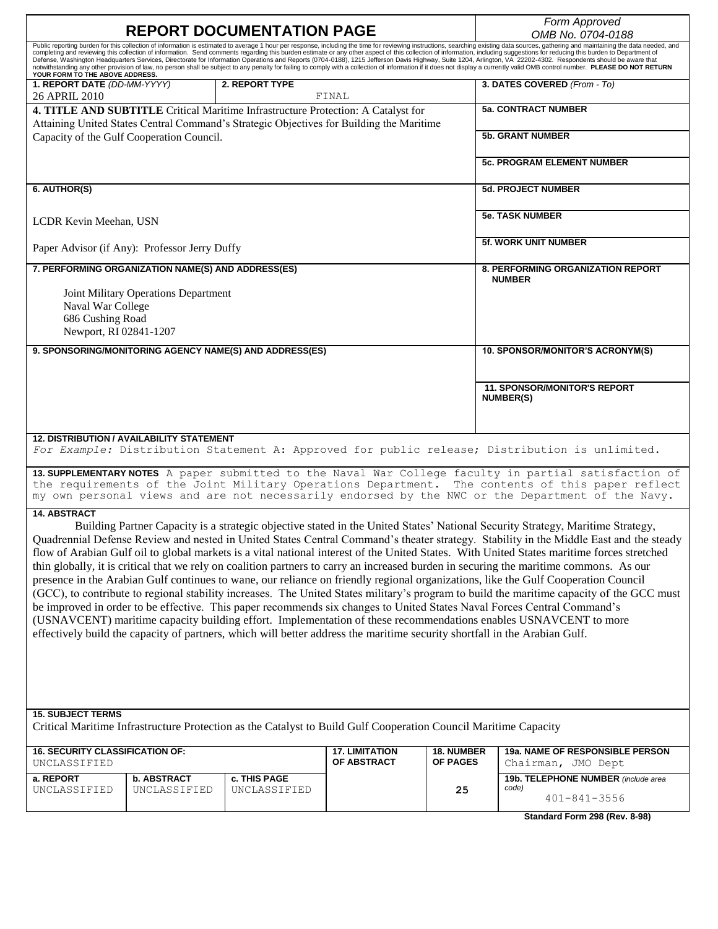| <b>REPORT DOCUMENTATION PAGE</b>                                                                                                                                                                                                                                                                                 |                                      |                                                                                                                            |                       |                   | Form Approved<br>OMB No. 0704-0188                                                                                                                                                                                                                                                                                                                                                                                                                                                                                                                                                                                                                                                |  |  |
|------------------------------------------------------------------------------------------------------------------------------------------------------------------------------------------------------------------------------------------------------------------------------------------------------------------|--------------------------------------|----------------------------------------------------------------------------------------------------------------------------|-----------------------|-------------------|-----------------------------------------------------------------------------------------------------------------------------------------------------------------------------------------------------------------------------------------------------------------------------------------------------------------------------------------------------------------------------------------------------------------------------------------------------------------------------------------------------------------------------------------------------------------------------------------------------------------------------------------------------------------------------------|--|--|
|                                                                                                                                                                                                                                                                                                                  |                                      |                                                                                                                            |                       |                   | Public reporting burden for this collection of information is estimated to average 1 hour per response, including the time for reviewing instructions, searching existing data sources, gathering and maintaining the data nee                                                                                                                                                                                                                                                                                                                                                                                                                                                    |  |  |
| YOUR FORM TO THE ABOVE ADDRESS.                                                                                                                                                                                                                                                                                  |                                      |                                                                                                                            |                       |                   | completing and reviewing this collection of information. Send comments regarding this burden estimate or any other aspect of this collection of information, including suggestions for reducing this burden to Department of<br>Defense, Washington Headquarters Services, Directorate for Information Operations and Reports (0704-0188), 1215 Jefferson Davis Highway, Suite 1204, Arlington, VA 22202-4302. Respondents should be aware that<br>notwithstanding any other provision of law, no person shall be subject to any penalty for failing to comply with a collection of information if it does not display a currently valid OMB control number. PLEASE DO NOT RETURN |  |  |
| 1. REPORT DATE (DD-MM-YYYY)<br>26 APRIL 2010                                                                                                                                                                                                                                                                     |                                      | 2. REPORT TYPE                                                                                                             | FINAL                 |                   | 3. DATES COVERED (From - To)                                                                                                                                                                                                                                                                                                                                                                                                                                                                                                                                                                                                                                                      |  |  |
| 4. TITLE AND SUBTITLE Critical Maritime Infrastructure Protection: A Catalyst for<br>Attaining United States Central Command's Strategic Objectives for Building the Maritime<br>Capacity of the Gulf Cooperation Council.                                                                                       |                                      |                                                                                                                            |                       |                   | <b>5a. CONTRACT NUMBER</b>                                                                                                                                                                                                                                                                                                                                                                                                                                                                                                                                                                                                                                                        |  |  |
|                                                                                                                                                                                                                                                                                                                  |                                      |                                                                                                                            |                       |                   | <b>5b. GRANT NUMBER</b>                                                                                                                                                                                                                                                                                                                                                                                                                                                                                                                                                                                                                                                           |  |  |
|                                                                                                                                                                                                                                                                                                                  |                                      |                                                                                                                            |                       |                   | <b>5c. PROGRAM ELEMENT NUMBER</b>                                                                                                                                                                                                                                                                                                                                                                                                                                                                                                                                                                                                                                                 |  |  |
| 6. AUTHOR(S)                                                                                                                                                                                                                                                                                                     |                                      |                                                                                                                            |                       |                   | <b>5d. PROJECT NUMBER</b>                                                                                                                                                                                                                                                                                                                                                                                                                                                                                                                                                                                                                                                         |  |  |
| LCDR Kevin Meehan, USN                                                                                                                                                                                                                                                                                           |                                      |                                                                                                                            |                       |                   | <b>5e. TASK NUMBER</b>                                                                                                                                                                                                                                                                                                                                                                                                                                                                                                                                                                                                                                                            |  |  |
| Paper Advisor (if Any): Professor Jerry Duffy                                                                                                                                                                                                                                                                    |                                      |                                                                                                                            |                       |                   | <b>5f. WORK UNIT NUMBER</b>                                                                                                                                                                                                                                                                                                                                                                                                                                                                                                                                                                                                                                                       |  |  |
| 7. PERFORMING ORGANIZATION NAME(S) AND ADDRESS(ES)                                                                                                                                                                                                                                                               |                                      |                                                                                                                            |                       |                   | 8. PERFORMING ORGANIZATION REPORT<br><b>NUMBER</b>                                                                                                                                                                                                                                                                                                                                                                                                                                                                                                                                                                                                                                |  |  |
|                                                                                                                                                                                                                                                                                                                  | Joint Military Operations Department |                                                                                                                            |                       |                   |                                                                                                                                                                                                                                                                                                                                                                                                                                                                                                                                                                                                                                                                                   |  |  |
| Naval War College<br>686 Cushing Road                                                                                                                                                                                                                                                                            |                                      |                                                                                                                            |                       |                   |                                                                                                                                                                                                                                                                                                                                                                                                                                                                                                                                                                                                                                                                                   |  |  |
| Newport, RI 02841-1207                                                                                                                                                                                                                                                                                           |                                      |                                                                                                                            |                       |                   |                                                                                                                                                                                                                                                                                                                                                                                                                                                                                                                                                                                                                                                                                   |  |  |
|                                                                                                                                                                                                                                                                                                                  |                                      | 9. SPONSORING/MONITORING AGENCY NAME(S) AND ADDRESS(ES)                                                                    |                       |                   | 10. SPONSOR/MONITOR'S ACRONYM(S)                                                                                                                                                                                                                                                                                                                                                                                                                                                                                                                                                                                                                                                  |  |  |
|                                                                                                                                                                                                                                                                                                                  |                                      |                                                                                                                            |                       |                   |                                                                                                                                                                                                                                                                                                                                                                                                                                                                                                                                                                                                                                                                                   |  |  |
|                                                                                                                                                                                                                                                                                                                  |                                      |                                                                                                                            |                       |                   | <b>11. SPONSOR/MONITOR'S REPORT</b><br>NUMBER(S)                                                                                                                                                                                                                                                                                                                                                                                                                                                                                                                                                                                                                                  |  |  |
|                                                                                                                                                                                                                                                                                                                  |                                      |                                                                                                                            |                       |                   |                                                                                                                                                                                                                                                                                                                                                                                                                                                                                                                                                                                                                                                                                   |  |  |
| <b>12. DISTRIBUTION / AVAILABILITY STATEMENT</b>                                                                                                                                                                                                                                                                 |                                      |                                                                                                                            |                       |                   | For Example: Distribution Statement A: Approved for public release; Distribution is unlimited.                                                                                                                                                                                                                                                                                                                                                                                                                                                                                                                                                                                    |  |  |
|                                                                                                                                                                                                                                                                                                                  |                                      |                                                                                                                            |                       |                   |                                                                                                                                                                                                                                                                                                                                                                                                                                                                                                                                                                                                                                                                                   |  |  |
| 13. SUPPLEMENTARY NOTES A paper submitted to the Naval War College faculty in partial satisfaction of<br>the requirements of the Joint Military Operations Department.<br>The contents of this paper reflect<br>my own personal views and are not necessarily endorsed by the NWC or the Department of the Navy. |                                      |                                                                                                                            |                       |                   |                                                                                                                                                                                                                                                                                                                                                                                                                                                                                                                                                                                                                                                                                   |  |  |
| <b>14. ABSTRACT</b>                                                                                                                                                                                                                                                                                              |                                      |                                                                                                                            |                       |                   |                                                                                                                                                                                                                                                                                                                                                                                                                                                                                                                                                                                                                                                                                   |  |  |
|                                                                                                                                                                                                                                                                                                                  |                                      |                                                                                                                            |                       |                   | Building Partner Capacity is a strategic objective stated in the United States' National Security Strategy, Maritime Strategy,                                                                                                                                                                                                                                                                                                                                                                                                                                                                                                                                                    |  |  |
| Quadrennial Defense Review and nested in United States Central Command's theater strategy. Stability in the Middle East and the steady<br>flow of Arabian Gulf oil to global markets is a vital national interest of the United States. With United States maritime forces stretched                             |                                      |                                                                                                                            |                       |                   |                                                                                                                                                                                                                                                                                                                                                                                                                                                                                                                                                                                                                                                                                   |  |  |
|                                                                                                                                                                                                                                                                                                                  |                                      |                                                                                                                            |                       |                   | thin globally, it is critical that we rely on coalition partners to carry an increased burden in securing the maritime commons. As our                                                                                                                                                                                                                                                                                                                                                                                                                                                                                                                                            |  |  |
|                                                                                                                                                                                                                                                                                                                  |                                      |                                                                                                                            |                       |                   | presence in the Arabian Gulf continues to wane, our reliance on friendly regional organizations, like the Gulf Cooperation Council                                                                                                                                                                                                                                                                                                                                                                                                                                                                                                                                                |  |  |
|                                                                                                                                                                                                                                                                                                                  |                                      |                                                                                                                            |                       |                   | (GCC), to contribute to regional stability increases. The United States military's program to build the maritime capacity of the GCC must                                                                                                                                                                                                                                                                                                                                                                                                                                                                                                                                         |  |  |
|                                                                                                                                                                                                                                                                                                                  |                                      |                                                                                                                            |                       |                   | be improved in order to be effective. This paper recommends six changes to United States Naval Forces Central Command's<br>(USNAVCENT) maritime capacity building effort. Implementation of these recommendations enables USNAVCENT to more                                                                                                                                                                                                                                                                                                                                                                                                                                       |  |  |
|                                                                                                                                                                                                                                                                                                                  |                                      | effectively build the capacity of partners, which will better address the maritime security shortfall in the Arabian Gulf. |                       |                   |                                                                                                                                                                                                                                                                                                                                                                                                                                                                                                                                                                                                                                                                                   |  |  |
|                                                                                                                                                                                                                                                                                                                  |                                      |                                                                                                                            |                       |                   |                                                                                                                                                                                                                                                                                                                                                                                                                                                                                                                                                                                                                                                                                   |  |  |
|                                                                                                                                                                                                                                                                                                                  |                                      |                                                                                                                            |                       |                   |                                                                                                                                                                                                                                                                                                                                                                                                                                                                                                                                                                                                                                                                                   |  |  |
|                                                                                                                                                                                                                                                                                                                  |                                      |                                                                                                                            |                       |                   |                                                                                                                                                                                                                                                                                                                                                                                                                                                                                                                                                                                                                                                                                   |  |  |
|                                                                                                                                                                                                                                                                                                                  |                                      |                                                                                                                            |                       |                   |                                                                                                                                                                                                                                                                                                                                                                                                                                                                                                                                                                                                                                                                                   |  |  |
| <b>15. SUBJECT TERMS</b><br>Critical Maritime Infrastructure Protection as the Catalyst to Build Gulf Cooperation Council Maritime Capacity                                                                                                                                                                      |                                      |                                                                                                                            |                       |                   |                                                                                                                                                                                                                                                                                                                                                                                                                                                                                                                                                                                                                                                                                   |  |  |
| <b>16. SECURITY CLASSIFICATION OF:</b>                                                                                                                                                                                                                                                                           |                                      |                                                                                                                            | <b>17. LIMITATION</b> | <b>18. NUMBER</b> | 19a. NAME OF RESPONSIBLE PERSON                                                                                                                                                                                                                                                                                                                                                                                                                                                                                                                                                                                                                                                   |  |  |
| UNCLASSIFIED                                                                                                                                                                                                                                                                                                     |                                      |                                                                                                                            | OF ABSTRACT           | <b>OF PAGES</b>   | Chairman, JMO Dept                                                                                                                                                                                                                                                                                                                                                                                                                                                                                                                                                                                                                                                                |  |  |
| a. REPORT<br>UNCLASSIFIED                                                                                                                                                                                                                                                                                        | b. ABSTRACT<br>UNCLASSIFIED          | c. THIS PAGE<br>UNCLASSIFIED                                                                                               |                       | 25                | 19b. TELEPHONE NUMBER (include area<br>code)                                                                                                                                                                                                                                                                                                                                                                                                                                                                                                                                                                                                                                      |  |  |
|                                                                                                                                                                                                                                                                                                                  |                                      |                                                                                                                            |                       |                   | $401 - 841 - 3556$                                                                                                                                                                                                                                                                                                                                                                                                                                                                                                                                                                                                                                                                |  |  |
|                                                                                                                                                                                                                                                                                                                  |                                      |                                                                                                                            |                       |                   | Standard Form 298 (Rev. 8-98)                                                                                                                                                                                                                                                                                                                                                                                                                                                                                                                                                                                                                                                     |  |  |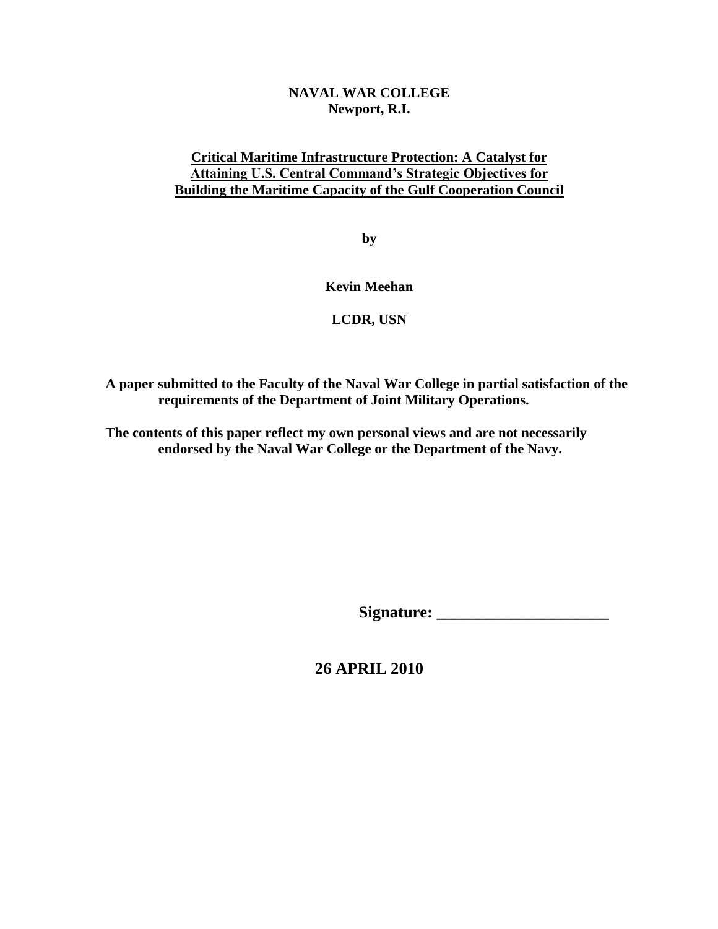### **NAVAL WAR COLLEGE Newport, R.I.**

### **Critical Maritime Infrastructure Protection: A Catalyst for Attaining U.S. Central Command's Strategic Objectives for Building the Maritime Capacity of the Gulf Cooperation Council**

**by**

**Kevin Meehan** 

## **LCDR, USN**

**A paper submitted to the Faculty of the Naval War College in partial satisfaction of the requirements of the Department of Joint Military Operations.** 

**The contents of this paper reflect my own personal views and are not necessarily endorsed by the Naval War College or the Department of the Navy.** 

**Signature: \_\_\_\_\_\_\_\_\_\_\_\_\_\_\_\_\_\_\_\_\_** 

**26 APRIL 2010**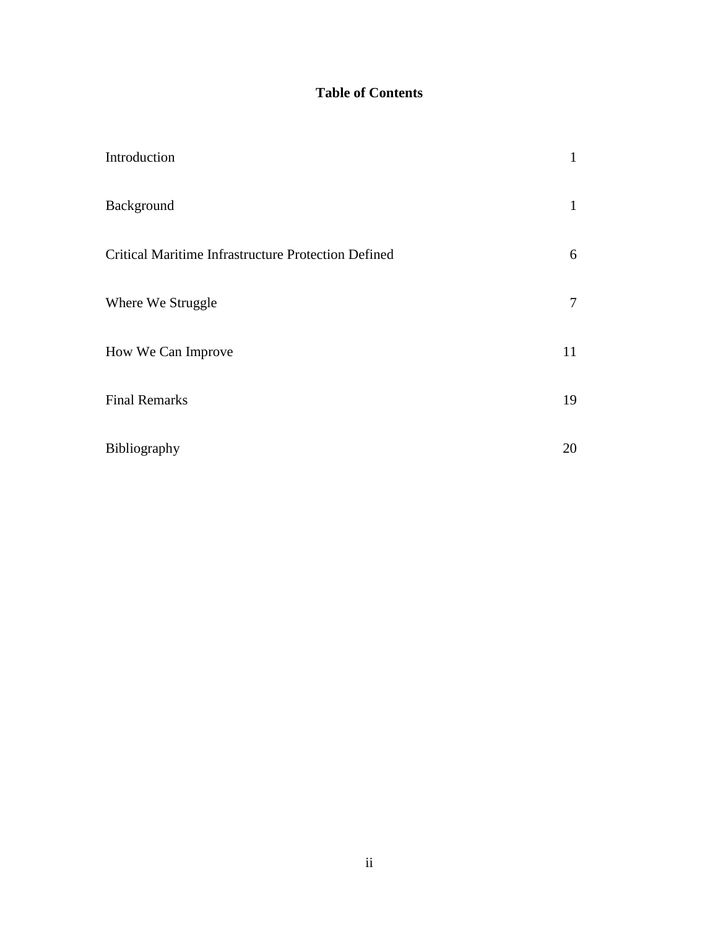# **Table of Contents**

| Introduction                                        | 1  |
|-----------------------------------------------------|----|
| Background                                          | 1  |
| Critical Maritime Infrastructure Protection Defined | 6  |
| Where We Struggle                                   | 7  |
| How We Can Improve                                  | 11 |
| <b>Final Remarks</b>                                | 19 |
| Bibliography                                        | 20 |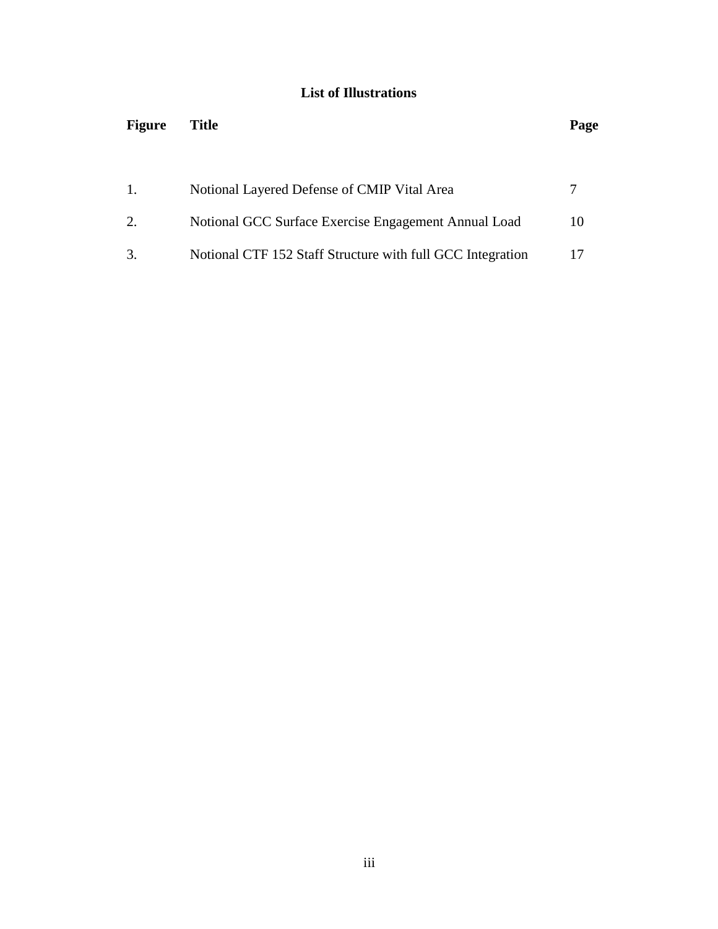## **List of Illustrations**

| <b>Figure</b> | Title                                                      |    |  |  |  |
|---------------|------------------------------------------------------------|----|--|--|--|
|               |                                                            |    |  |  |  |
| 1.            | Notional Layered Defense of CMIP Vital Area                |    |  |  |  |
| 2.            | Notional GCC Surface Exercise Engagement Annual Load       | 10 |  |  |  |
|               | Notional CTF 152 Staff Structure with full GCC Integration |    |  |  |  |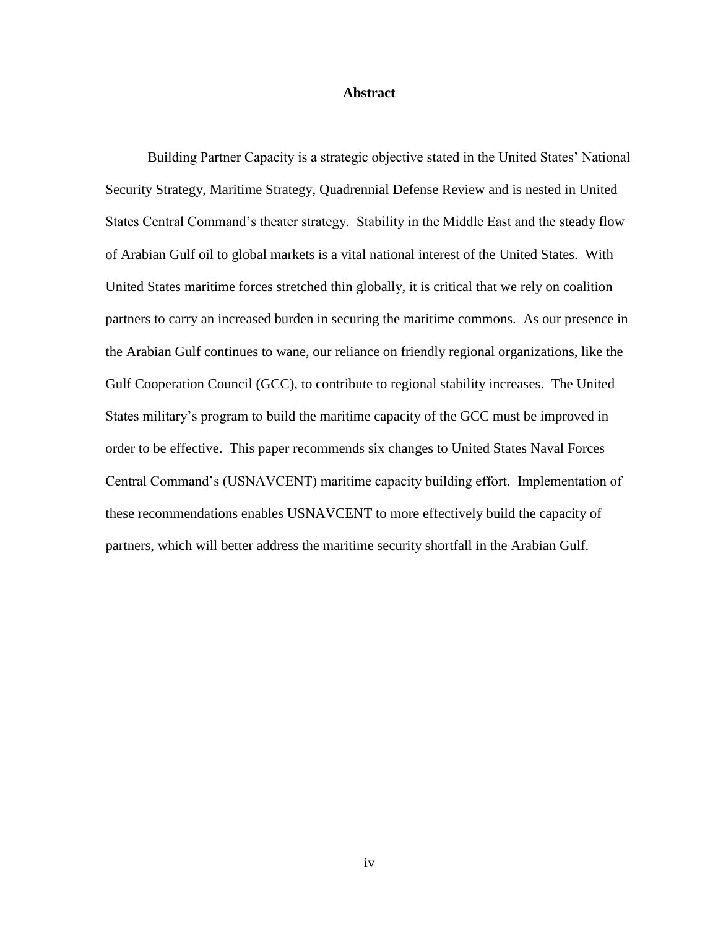#### **Abstract**

Building Partner Capacity is a strategic objective stated in the United States' National Security Strategy, Maritime Strategy, Quadrennial Defense Review and is nested in United States Central Command's theater strategy. Stability in the Middle East and the steady flow of Arabian Gulf oil to global markets is a vital national interest of the United States. With United States maritime forces stretched thin globally, it is critical that we rely on coalition partners to carry an increased burden in securing the maritime commons. As our presence in the Arabian Gulf continues to wane, our reliance on friendly regional organizations, like the Gulf Cooperation Council (GCC), to contribute to regional stability increases. The United States military's program to build the maritime capacity of the GCC must be improved in order to be effective. This paper recommends six changes to United States Naval Forces Central Command's (USNAVCENT) maritime capacity building effort. Implementation of these recommendations enables USNAVCENT to more effectively build the capacity of partners, which will better address the maritime security shortfall in the Arabian Gulf.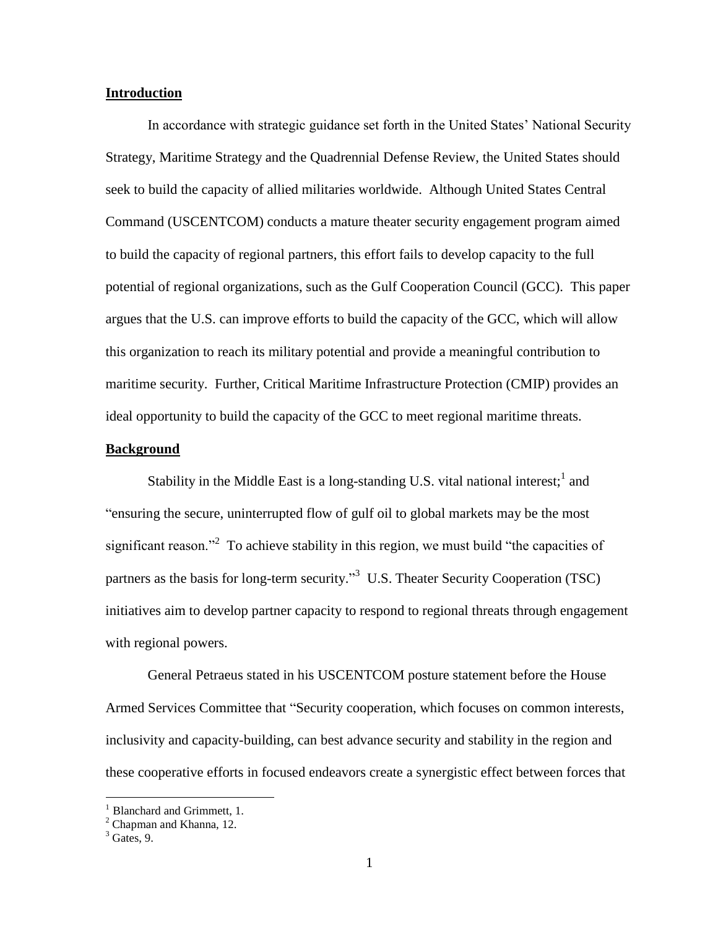#### **Introduction**

In accordance with strategic guidance set forth in the United States' National Security Strategy, Maritime Strategy and the Quadrennial Defense Review, the United States should seek to build the capacity of allied militaries worldwide. Although United States Central Command (USCENTCOM) conducts a mature theater security engagement program aimed to build the capacity of regional partners, this effort fails to develop capacity to the full potential of regional organizations, such as the Gulf Cooperation Council (GCC). This paper argues that the U.S. can improve efforts to build the capacity of the GCC, which will allow this organization to reach its military potential and provide a meaningful contribution to maritime security. Further, Critical Maritime Infrastructure Protection (CMIP) provides an ideal opportunity to build the capacity of the GCC to meet regional maritime threats.

#### **Background**

Stability in the Middle East is a long-standing U.S. vital national interest;<sup>1</sup> and "ensuring the secure, uninterrupted flow of gulf oil to global markets may be the most significant reason."<sup>2</sup> To achieve stability in this region, we must build "the capacities of partners as the basis for long-term security."<sup>3</sup> U.S. Theater Security Cooperation (TSC) initiatives aim to develop partner capacity to respond to regional threats through engagement with regional powers.

General Petraeus stated in his USCENTCOM posture statement before the House Armed Services Committee that "Security cooperation, which focuses on common interests, inclusivity and capacity-building, can best advance security and stability in the region and these cooperative efforts in focused endeavors create a synergistic effect between forces that

<sup>&</sup>lt;sup>1</sup> Blanchard and Grimmett, 1.

 $2$  Chapman and Khanna, 12.

 $3$  Gates, 9.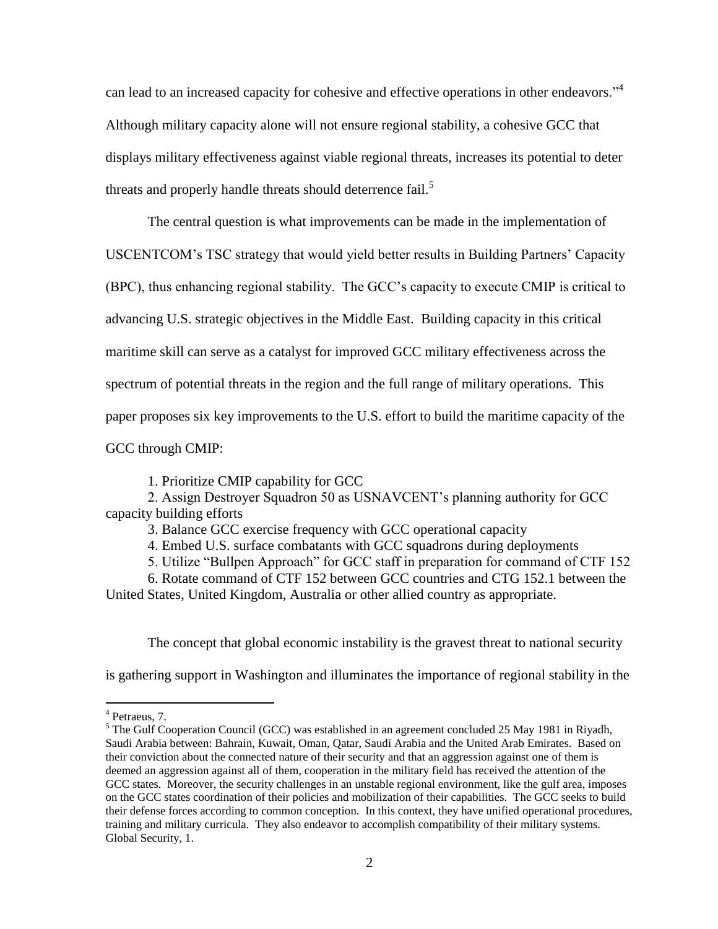can lead to an increased capacity for cohesive and effective operations in other endeavors."<sup>4</sup> Although military capacity alone will not ensure regional stability, a cohesive GCC that displays military effectiveness against viable regional threats, increases its potential to deter threats and properly handle threats should deterrence fail.<sup>5</sup>

The central question is what improvements can be made in the implementation of

USCENTCOM's TSC strategy that would yield better results in Building Partners' Capacity

(BPC), thus enhancing regional stability. The GCC's capacity to execute CMIP is critical to

advancing U.S. strategic objectives in the Middle East. Building capacity in this critical

maritime skill can serve as a catalyst for improved GCC military effectiveness across the

spectrum of potential threats in the region and the full range of military operations. This

paper proposes six key improvements to the U.S. effort to build the maritime capacity of the

GCC through CMIP:

1. Prioritize CMIP capability for GCC

2. Assign Destroyer Squadron 50 as USNAVCENT's planning authority for GCC capacity building efforts

3. Balance GCC exercise frequency with GCC operational capacity

4. Embed U.S. surface combatants with GCC squadrons during deployments

5. Utilize "Bullpen Approach" for GCC staff in preparation for command of CTF 152

 6. Rotate command of CTF 152 between GCC countries and CTG 152.1 between the United States, United Kingdom, Australia or other allied country as appropriate.

The concept that global economic instability is the gravest threat to national security

is gathering support in Washington and illuminates the importance of regional stability in the

<sup>4</sup> Petraeus, 7.

<sup>&</sup>lt;sup>5</sup> The Gulf Cooperation Council (GCC) was established in an agreement concluded 25 May 1981 in Riyadh, Saudi Arabia between: Bahrain, Kuwait, Oman, Qatar, Saudi Arabia and the United Arab Emirates. Based on their conviction about the connected nature of their security and that an aggression against one of them is deemed an aggression against all of them, cooperation in the military field has received the attention of the GCC states. Moreover, the security challenges in an unstable regional environment, like the gulf area, imposes on the GCC states coordination of their policies and mobilization of their capabilities. The GCC seeks to build their defense forces according to common conception. In this context, they have unified operational procedures, training and military curricula. They also endeavor to accomplish compatibility of their military systems. Global Security, 1.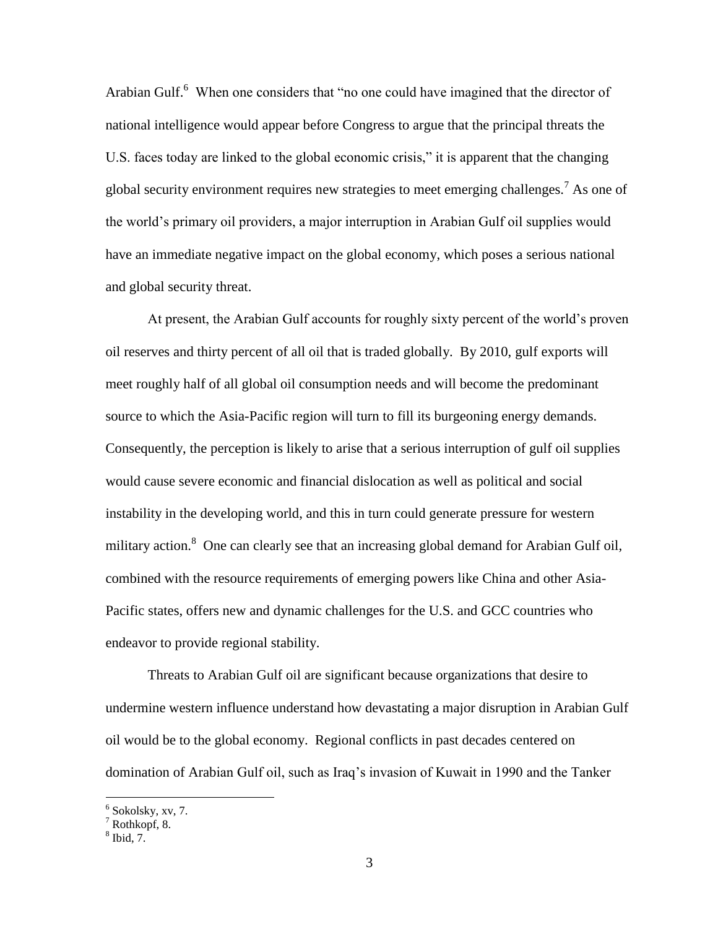Arabian Gulf.<sup>6</sup> When one considers that "no one could have imagined that the director of national intelligence would appear before Congress to argue that the principal threats the U.S. faces today are linked to the global economic crisis," it is apparent that the changing global security environment requires new strategies to meet emerging challenges.<sup>7</sup> As one of the world's primary oil providers, a major interruption in Arabian Gulf oil supplies would have an immediate negative impact on the global economy, which poses a serious national and global security threat.

At present, the Arabian Gulf accounts for roughly sixty percent of the world's proven oil reserves and thirty percent of all oil that is traded globally. By 2010, gulf exports will meet roughly half of all global oil consumption needs and will become the predominant source to which the Asia-Pacific region will turn to fill its burgeoning energy demands. Consequently, the perception is likely to arise that a serious interruption of gulf oil supplies would cause severe economic and financial dislocation as well as political and social instability in the developing world, and this in turn could generate pressure for western military action.<sup>8</sup> One can clearly see that an increasing global demand for Arabian Gulf oil, combined with the resource requirements of emerging powers like China and other Asia-Pacific states, offers new and dynamic challenges for the U.S. and GCC countries who endeavor to provide regional stability.

 Threats to Arabian Gulf oil are significant because organizations that desire to undermine western influence understand how devastating a major disruption in Arabian Gulf oil would be to the global economy. Regional conflicts in past decades centered on domination of Arabian Gulf oil, such as Iraq's invasion of Kuwait in 1990 and the Tanker

 $\frac{6}{7}$  Sokolsky, xv, 7.<br> $\frac{7}{7}$  Rothkopf, 8.

 $<sup>8</sup>$  Ibid, 7.</sup>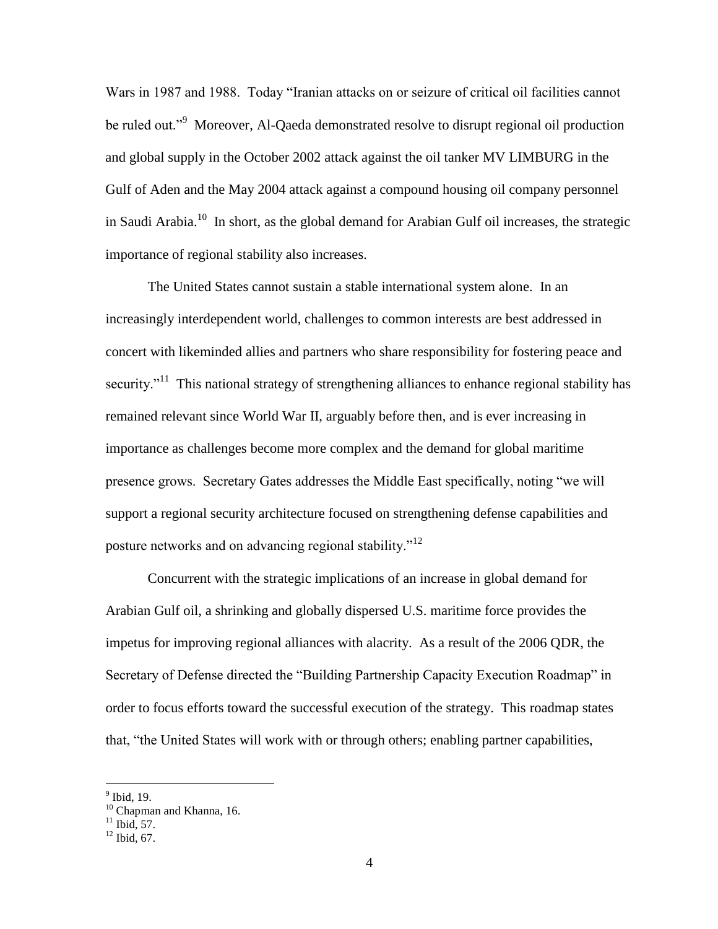Wars in 1987 and 1988. Today "Iranian attacks on or seizure of critical oil facilities cannot be ruled out."<sup>9</sup> Moreover, Al-Qaeda demonstrated resolve to disrupt regional oil production and global supply in the October 2002 attack against the oil tanker MV LIMBURG in the Gulf of Aden and the May 2004 attack against a compound housing oil company personnel in Saudi Arabia.<sup>10</sup> In short, as the global demand for Arabian Gulf oil increases, the strategic importance of regional stability also increases.

The United States cannot sustain a stable international system alone. In an increasingly interdependent world, challenges to common interests are best addressed in concert with likeminded allies and partners who share responsibility for fostering peace and security."<sup>11</sup> This national strategy of strengthening alliances to enhance regional stability has remained relevant since World War II, arguably before then, and is ever increasing in importance as challenges become more complex and the demand for global maritime presence grows. Secretary Gates addresses the Middle East specifically, noting "we will support a regional security architecture focused on strengthening defense capabilities and posture networks and on advancing regional stability."<sup>12</sup>

 Concurrent with the strategic implications of an increase in global demand for Arabian Gulf oil, a shrinking and globally dispersed U.S. maritime force provides the impetus for improving regional alliances with alacrity. As a result of the 2006 QDR, the Secretary of Defense directed the "Building Partnership Capacity Execution Roadmap" in order to focus efforts toward the successful execution of the strategy. This roadmap states that, "the United States will work with or through others; enabling partner capabilities,

<sup>&</sup>lt;sup>9</sup> Ibid, 19.

<sup>&</sup>lt;sup>10</sup> Chapman and Khanna, 16.

 $11$  Ibid, 57.

 $12$  Ibid, 67.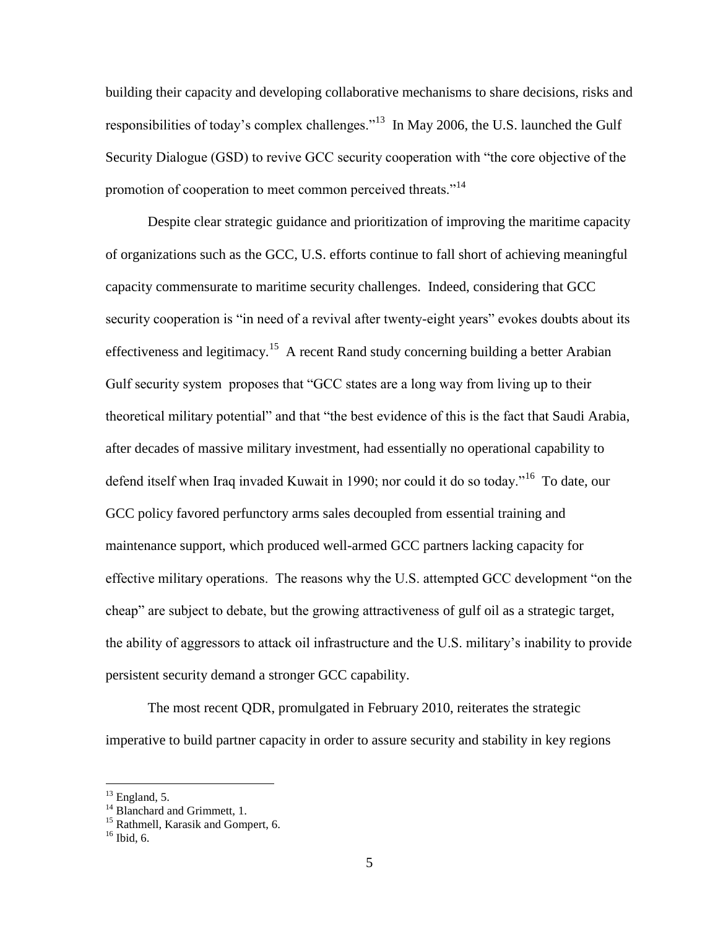building their capacity and developing collaborative mechanisms to share decisions, risks and responsibilities of today's complex challenges."<sup>13</sup> In May 2006, the U.S. launched the Gulf Security Dialogue (GSD) to revive GCC security cooperation with "the core objective of the promotion of cooperation to meet common perceived threats."<sup>14</sup>

Despite clear strategic guidance and prioritization of improving the maritime capacity of organizations such as the GCC, U.S. efforts continue to fall short of achieving meaningful capacity commensurate to maritime security challenges. Indeed, considering that GCC security cooperation is "in need of a revival after twenty-eight years" evokes doubts about its effectiveness and legitimacy.<sup>15</sup> A recent Rand study concerning building a better Arabian Gulf security system proposes that "GCC states are a long way from living up to their theoretical military potential" and that "the best evidence of this is the fact that Saudi Arabia, after decades of massive military investment, had essentially no operational capability to defend itself when Iraq invaded Kuwait in 1990; nor could it do so today."<sup>16</sup> To date, our GCC policy favored perfunctory arms sales decoupled from essential training and maintenance support, which produced well-armed GCC partners lacking capacity for effective military operations. The reasons why the U.S. attempted GCC development "on the cheap" are subject to debate, but the growing attractiveness of gulf oil as a strategic target, the ability of aggressors to attack oil infrastructure and the U.S. military's inability to provide persistent security demand a stronger GCC capability.

The most recent QDR, promulgated in February 2010, reiterates the strategic imperative to build partner capacity in order to assure security and stability in key regions

 $^{13}$  England, 5.

 $14$  Blanchard and Grimmett, 1.

<sup>&</sup>lt;sup>15</sup> Rathmell, Karasik and Gompert, 6.

 $16$  Ibid, 6.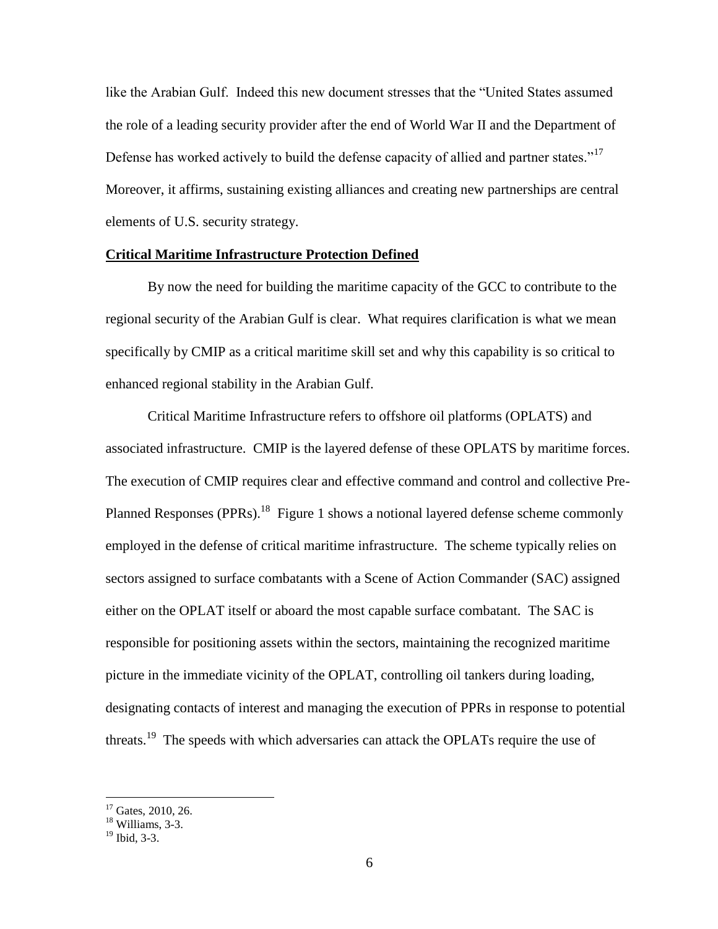like the Arabian Gulf. Indeed this new document stresses that the "United States assumed the role of a leading security provider after the end of World War II and the Department of Defense has worked actively to build the defense capacity of allied and partner states."<sup>17</sup> Moreover, it affirms, sustaining existing alliances and creating new partnerships are central elements of U.S. security strategy.

#### **Critical Maritime Infrastructure Protection Defined**

By now the need for building the maritime capacity of the GCC to contribute to the regional security of the Arabian Gulf is clear. What requires clarification is what we mean specifically by CMIP as a critical maritime skill set and why this capability is so critical to enhanced regional stability in the Arabian Gulf.

Critical Maritime Infrastructure refers to offshore oil platforms (OPLATS) and associated infrastructure. CMIP is the layered defense of these OPLATS by maritime forces. The execution of CMIP requires clear and effective command and control and collective Pre-Planned Responses (PPRs).<sup>18</sup> Figure 1 shows a notional layered defense scheme commonly employed in the defense of critical maritime infrastructure. The scheme typically relies on sectors assigned to surface combatants with a Scene of Action Commander (SAC) assigned either on the OPLAT itself or aboard the most capable surface combatant. The SAC is responsible for positioning assets within the sectors, maintaining the recognized maritime picture in the immediate vicinity of the OPLAT, controlling oil tankers during loading, designating contacts of interest and managing the execution of PPRs in response to potential threats.<sup>19</sup> The speeds with which adversaries can attack the OPLATs require the use of

 $17$  Gates, 2010, 26.

<sup>&</sup>lt;sup>18</sup> Williams, 3-3.

 $19$  Ibid, 3-3.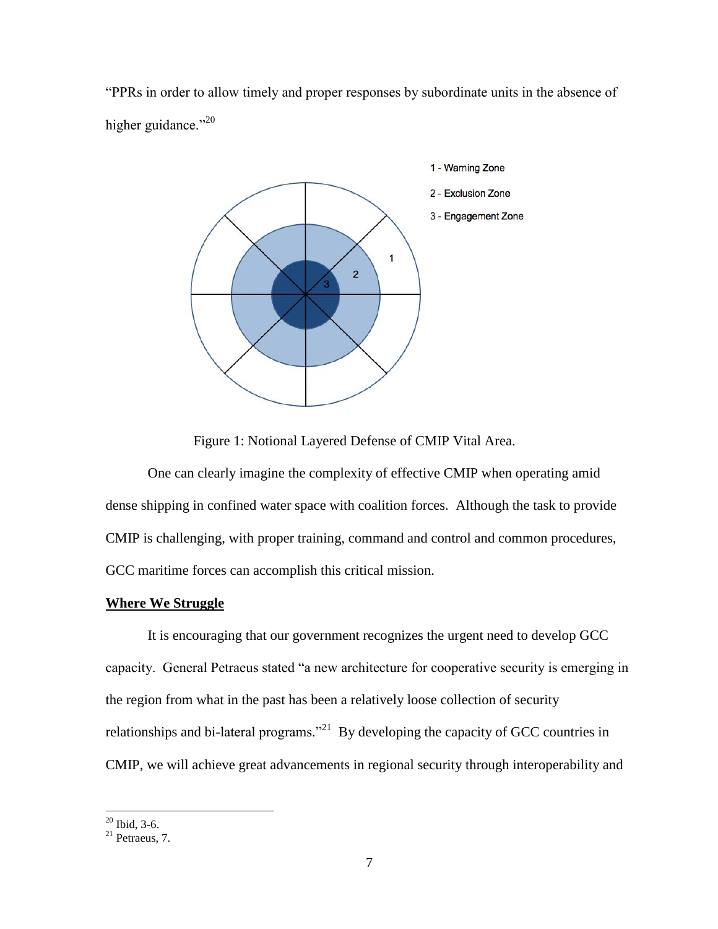"PPRs in order to allow timely and proper responses by subordinate units in the absence of higher guidance."<sup>20</sup>



Figure 1: Notional Layered Defense of CMIP Vital Area.

One can clearly imagine the complexity of effective CMIP when operating amid dense shipping in confined water space with coalition forces. Although the task to provide CMIP is challenging, with proper training, command and control and common procedures, GCC maritime forces can accomplish this critical mission.

### **Where We Struggle**

It is encouraging that our government recognizes the urgent need to develop GCC capacity. General Petraeus stated "a new architecture for cooperative security is emerging in the region from what in the past has been a relatively loose collection of security relationships and bi-lateral programs.<sup>221</sup> By developing the capacity of GCC countries in CMIP, we will achieve great advancements in regional security through interoperability and

 $20$  Ibid, 3-6.

 $21$  Petraeus, 7.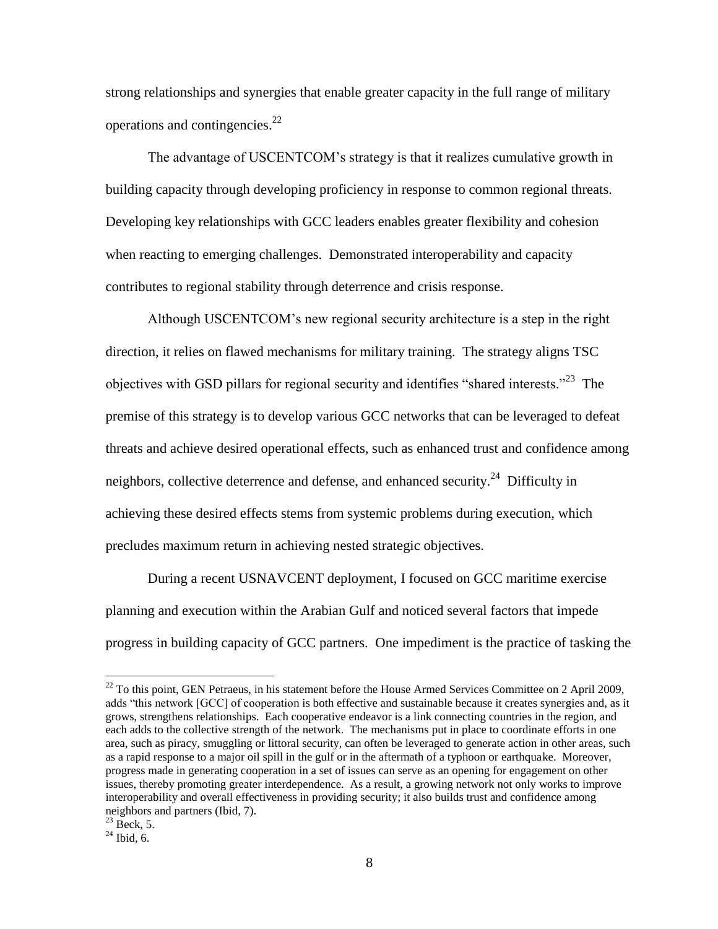strong relationships and synergies that enable greater capacity in the full range of military operations and contingencies. $^{22}$ 

The advantage of USCENTCOM's strategy is that it realizes cumulative growth in building capacity through developing proficiency in response to common regional threats. Developing key relationships with GCC leaders enables greater flexibility and cohesion when reacting to emerging challenges. Demonstrated interoperability and capacity contributes to regional stability through deterrence and crisis response.

Although USCENTCOM's new regional security architecture is a step in the right direction, it relies on flawed mechanisms for military training. The strategy aligns TSC objectives with GSD pillars for regional security and identifies "shared interests."<sup>23</sup> The premise of this strategy is to develop various GCC networks that can be leveraged to defeat threats and achieve desired operational effects, such as enhanced trust and confidence among neighbors, collective deterrence and defense, and enhanced security.<sup>24</sup> Difficulty in achieving these desired effects stems from systemic problems during execution, which precludes maximum return in achieving nested strategic objectives.

During a recent USNAVCENT deployment, I focused on GCC maritime exercise planning and execution within the Arabian Gulf and noticed several factors that impede progress in building capacity of GCC partners. One impediment is the practice of tasking the

<sup>&</sup>lt;sup>22</sup> To this point, GEN Petraeus, in his statement before the House Armed Services Committee on 2 April 2009, adds "this network [GCC] of cooperation is both effective and sustainable because it creates synergies and, as it grows, strengthens relationships. Each cooperative endeavor is a link connecting countries in the region, and each adds to the collective strength of the network. The mechanisms put in place to coordinate efforts in one area, such as piracy, smuggling or littoral security, can often be leveraged to generate action in other areas, such as a rapid response to a major oil spill in the gulf or in the aftermath of a typhoon or earthquake. Moreover, progress made in generating cooperation in a set of issues can serve as an opening for engagement on other issues, thereby promoting greater interdependence. As a result, a growing network not only works to improve interoperability and overall effectiveness in providing security; it also builds trust and confidence among neighbors and partners (Ibid, 7).

 $^{23}$  Beck, 5.

 $^{24}$  Ibid, 6.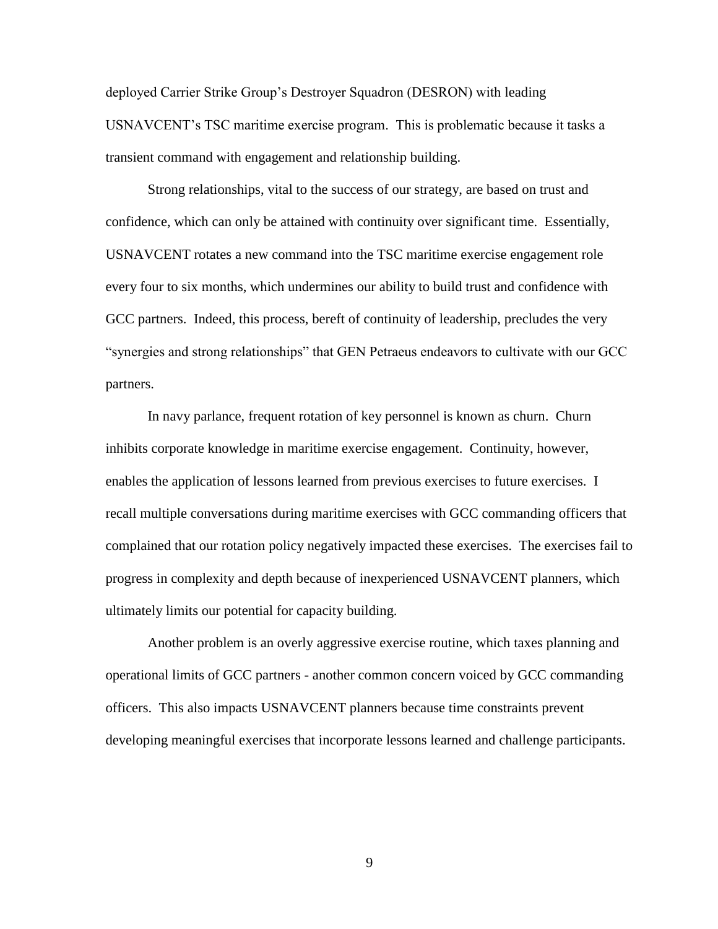deployed Carrier Strike Group's Destroyer Squadron (DESRON) with leading USNAVCENT's TSC maritime exercise program. This is problematic because it tasks a transient command with engagement and relationship building.

Strong relationships, vital to the success of our strategy, are based on trust and confidence, which can only be attained with continuity over significant time. Essentially, USNAVCENT rotates a new command into the TSC maritime exercise engagement role every four to six months, which undermines our ability to build trust and confidence with GCC partners. Indeed, this process, bereft of continuity of leadership, precludes the very "synergies and strong relationships" that GEN Petraeus endeavors to cultivate with our GCC partners.

In navy parlance, frequent rotation of key personnel is known as churn. Churn inhibits corporate knowledge in maritime exercise engagement. Continuity, however, enables the application of lessons learned from previous exercises to future exercises. I recall multiple conversations during maritime exercises with GCC commanding officers that complained that our rotation policy negatively impacted these exercises. The exercises fail to progress in complexity and depth because of inexperienced USNAVCENT planners, which ultimately limits our potential for capacity building.

Another problem is an overly aggressive exercise routine, which taxes planning and operational limits of GCC partners - another common concern voiced by GCC commanding officers. This also impacts USNAVCENT planners because time constraints prevent developing meaningful exercises that incorporate lessons learned and challenge participants.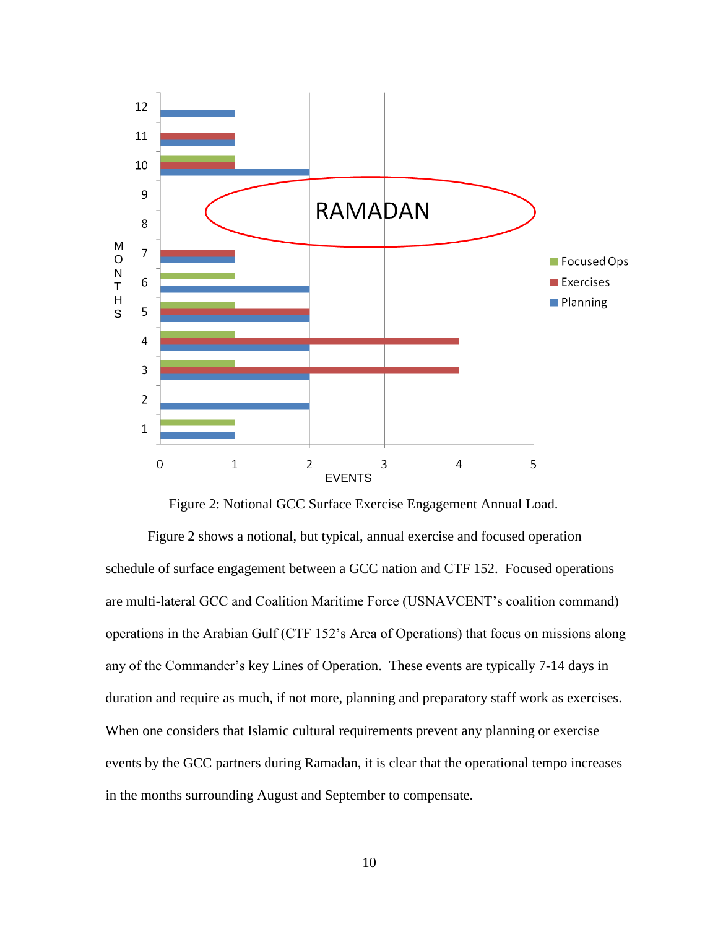

Figure 2: Notional GCC Surface Exercise Engagement Annual Load.

Figure 2 shows a notional, but typical, annual exercise and focused operation schedule of surface engagement between a GCC nation and CTF 152. Focused operations are multi-lateral GCC and Coalition Maritime Force (USNAVCENT's coalition command) operations in the Arabian Gulf (CTF 152's Area of Operations) that focus on missions along any of the Commander's key Lines of Operation. These events are typically 7-14 days in duration and require as much, if not more, planning and preparatory staff work as exercises. When one considers that Islamic cultural requirements prevent any planning or exercise events by the GCC partners during Ramadan, it is clear that the operational tempo increases in the months surrounding August and September to compensate.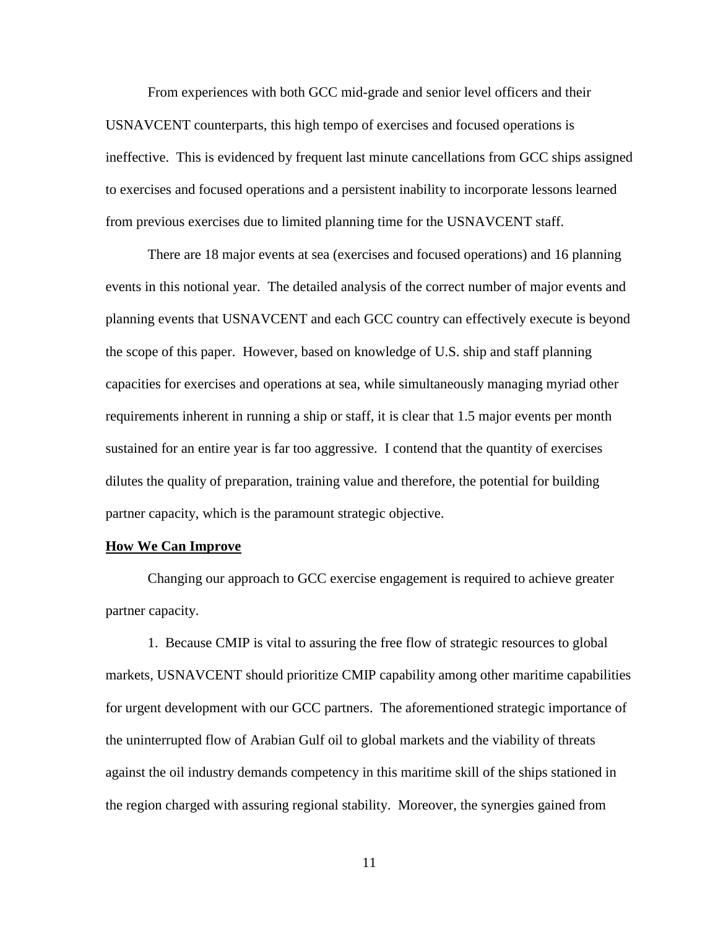From experiences with both GCC mid-grade and senior level officers and their USNAVCENT counterparts, this high tempo of exercises and focused operations is ineffective. This is evidenced by frequent last minute cancellations from GCC ships assigned to exercises and focused operations and a persistent inability to incorporate lessons learned from previous exercises due to limited planning time for the USNAVCENT staff.

There are 18 major events at sea (exercises and focused operations) and 16 planning events in this notional year. The detailed analysis of the correct number of major events and planning events that USNAVCENT and each GCC country can effectively execute is beyond the scope of this paper. However, based on knowledge of U.S. ship and staff planning capacities for exercises and operations at sea, while simultaneously managing myriad other requirements inherent in running a ship or staff, it is clear that 1.5 major events per month sustained for an entire year is far too aggressive. I contend that the quantity of exercises dilutes the quality of preparation, training value and therefore, the potential for building partner capacity, which is the paramount strategic objective.

#### **How We Can Improve**

Changing our approach to GCC exercise engagement is required to achieve greater partner capacity.

1. Because CMIP is vital to assuring the free flow of strategic resources to global markets, USNAVCENT should prioritize CMIP capability among other maritime capabilities for urgent development with our GCC partners. The aforementioned strategic importance of the uninterrupted flow of Arabian Gulf oil to global markets and the viability of threats against the oil industry demands competency in this maritime skill of the ships stationed in the region charged with assuring regional stability. Moreover, the synergies gained from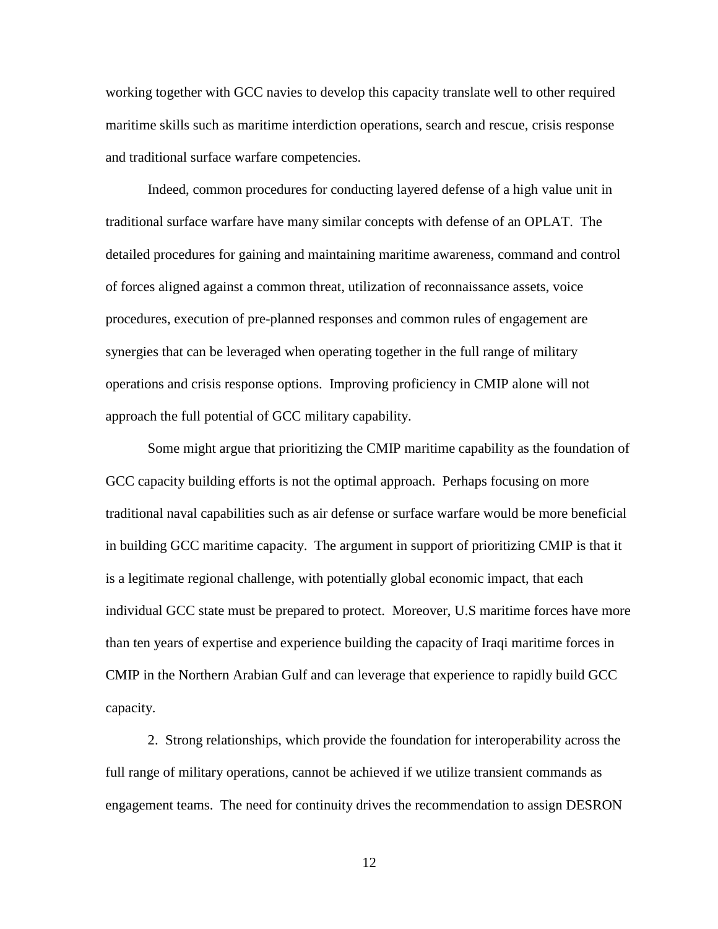working together with GCC navies to develop this capacity translate well to other required maritime skills such as maritime interdiction operations, search and rescue, crisis response and traditional surface warfare competencies.

Indeed, common procedures for conducting layered defense of a high value unit in traditional surface warfare have many similar concepts with defense of an OPLAT. The detailed procedures for gaining and maintaining maritime awareness, command and control of forces aligned against a common threat, utilization of reconnaissance assets, voice procedures, execution of pre-planned responses and common rules of engagement are synergies that can be leveraged when operating together in the full range of military operations and crisis response options. Improving proficiency in CMIP alone will not approach the full potential of GCC military capability.

Some might argue that prioritizing the CMIP maritime capability as the foundation of GCC capacity building efforts is not the optimal approach. Perhaps focusing on more traditional naval capabilities such as air defense or surface warfare would be more beneficial in building GCC maritime capacity. The argument in support of prioritizing CMIP is that it is a legitimate regional challenge, with potentially global economic impact, that each individual GCC state must be prepared to protect. Moreover, U.S maritime forces have more than ten years of expertise and experience building the capacity of Iraqi maritime forces in CMIP in the Northern Arabian Gulf and can leverage that experience to rapidly build GCC capacity.

2. Strong relationships, which provide the foundation for interoperability across the full range of military operations, cannot be achieved if we utilize transient commands as engagement teams. The need for continuity drives the recommendation to assign DESRON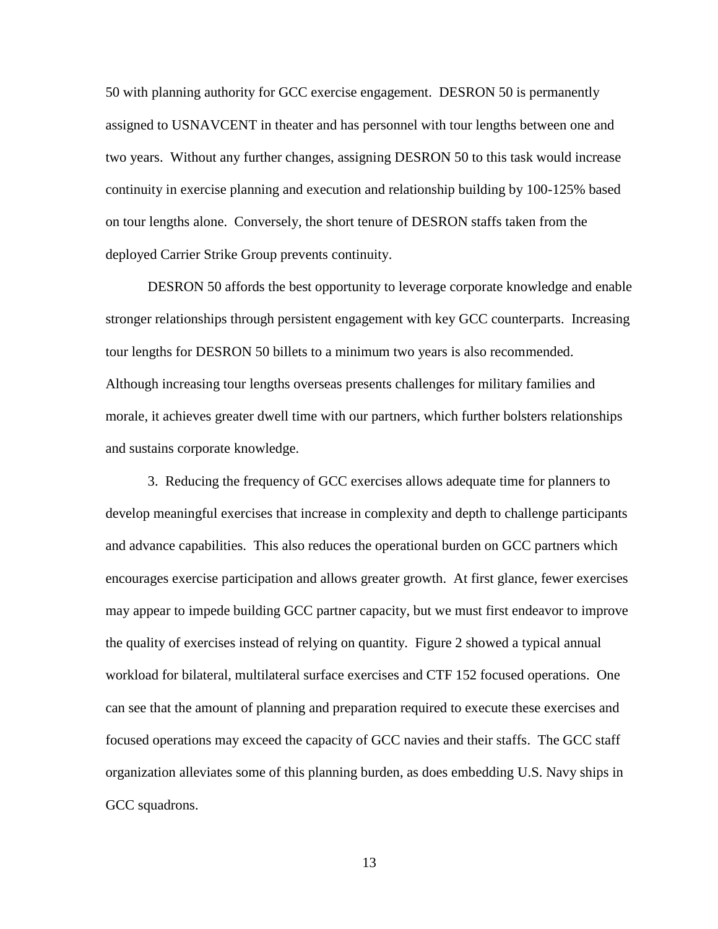50 with planning authority for GCC exercise engagement. DESRON 50 is permanently assigned to USNAVCENT in theater and has personnel with tour lengths between one and two years. Without any further changes, assigning DESRON 50 to this task would increase continuity in exercise planning and execution and relationship building by 100-125% based on tour lengths alone. Conversely, the short tenure of DESRON staffs taken from the deployed Carrier Strike Group prevents continuity.

DESRON 50 affords the best opportunity to leverage corporate knowledge and enable stronger relationships through persistent engagement with key GCC counterparts. Increasing tour lengths for DESRON 50 billets to a minimum two years is also recommended. Although increasing tour lengths overseas presents challenges for military families and morale, it achieves greater dwell time with our partners, which further bolsters relationships and sustains corporate knowledge.

3. Reducing the frequency of GCC exercises allows adequate time for planners to develop meaningful exercises that increase in complexity and depth to challenge participants and advance capabilities. This also reduces the operational burden on GCC partners which encourages exercise participation and allows greater growth. At first glance, fewer exercises may appear to impede building GCC partner capacity, but we must first endeavor to improve the quality of exercises instead of relying on quantity. Figure 2 showed a typical annual workload for bilateral, multilateral surface exercises and CTF 152 focused operations. One can see that the amount of planning and preparation required to execute these exercises and focused operations may exceed the capacity of GCC navies and their staffs. The GCC staff organization alleviates some of this planning burden, as does embedding U.S. Navy ships in GCC squadrons.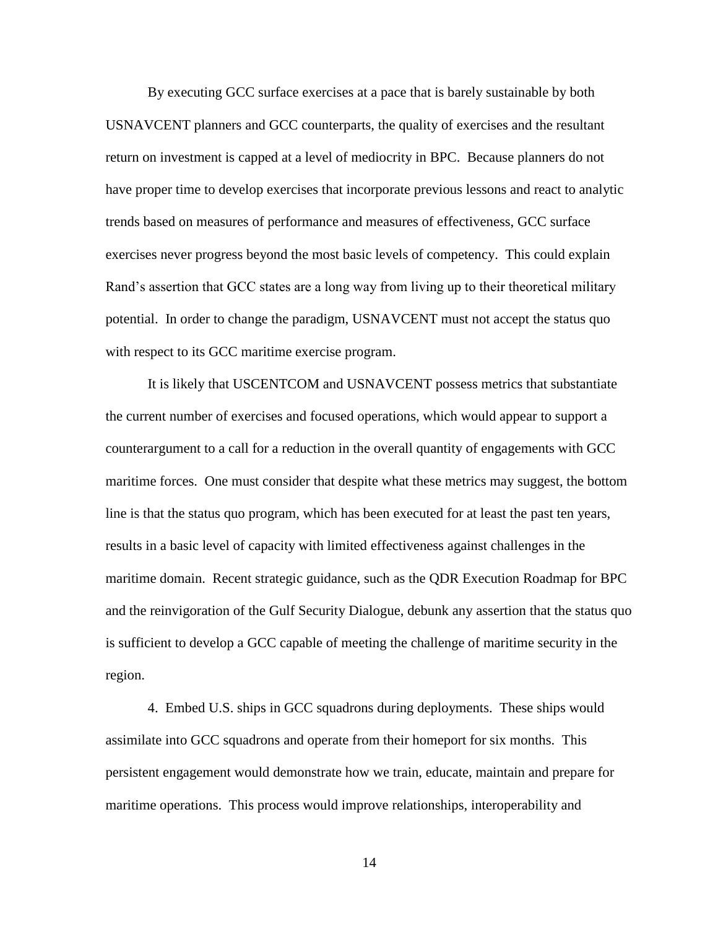By executing GCC surface exercises at a pace that is barely sustainable by both USNAVCENT planners and GCC counterparts, the quality of exercises and the resultant return on investment is capped at a level of mediocrity in BPC. Because planners do not have proper time to develop exercises that incorporate previous lessons and react to analytic trends based on measures of performance and measures of effectiveness, GCC surface exercises never progress beyond the most basic levels of competency. This could explain Rand's assertion that GCC states are a long way from living up to their theoretical military potential. In order to change the paradigm, USNAVCENT must not accept the status quo with respect to its GCC maritime exercise program.

It is likely that USCENTCOM and USNAVCENT possess metrics that substantiate the current number of exercises and focused operations, which would appear to support a counterargument to a call for a reduction in the overall quantity of engagements with GCC maritime forces. One must consider that despite what these metrics may suggest, the bottom line is that the status quo program, which has been executed for at least the past ten years, results in a basic level of capacity with limited effectiveness against challenges in the maritime domain. Recent strategic guidance, such as the QDR Execution Roadmap for BPC and the reinvigoration of the Gulf Security Dialogue, debunk any assertion that the status quo is sufficient to develop a GCC capable of meeting the challenge of maritime security in the region.

4. Embed U.S. ships in GCC squadrons during deployments. These ships would assimilate into GCC squadrons and operate from their homeport for six months. This persistent engagement would demonstrate how we train, educate, maintain and prepare for maritime operations. This process would improve relationships, interoperability and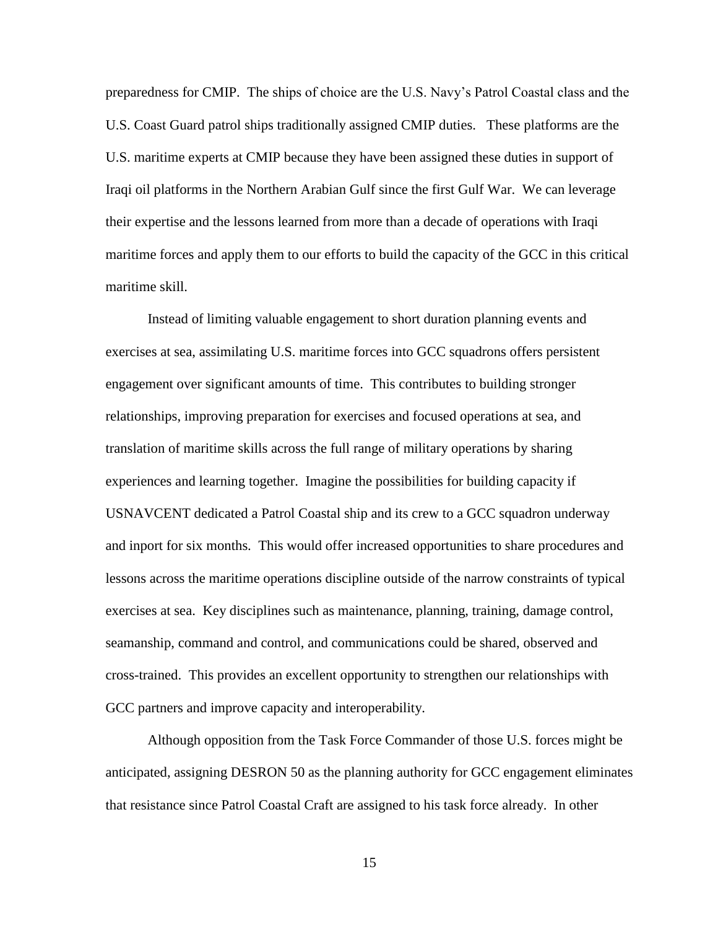preparedness for CMIP. The ships of choice are the U.S. Navy's Patrol Coastal class and the U.S. Coast Guard patrol ships traditionally assigned CMIP duties. These platforms are the U.S. maritime experts at CMIP because they have been assigned these duties in support of Iraqi oil platforms in the Northern Arabian Gulf since the first Gulf War. We can leverage their expertise and the lessons learned from more than a decade of operations with Iraqi maritime forces and apply them to our efforts to build the capacity of the GCC in this critical maritime skill.

Instead of limiting valuable engagement to short duration planning events and exercises at sea, assimilating U.S. maritime forces into GCC squadrons offers persistent engagement over significant amounts of time. This contributes to building stronger relationships, improving preparation for exercises and focused operations at sea, and translation of maritime skills across the full range of military operations by sharing experiences and learning together. Imagine the possibilities for building capacity if USNAVCENT dedicated a Patrol Coastal ship and its crew to a GCC squadron underway and inport for six months. This would offer increased opportunities to share procedures and lessons across the maritime operations discipline outside of the narrow constraints of typical exercises at sea. Key disciplines such as maintenance, planning, training, damage control, seamanship, command and control, and communications could be shared, observed and cross-trained. This provides an excellent opportunity to strengthen our relationships with GCC partners and improve capacity and interoperability.

Although opposition from the Task Force Commander of those U.S. forces might be anticipated, assigning DESRON 50 as the planning authority for GCC engagement eliminates that resistance since Patrol Coastal Craft are assigned to his task force already. In other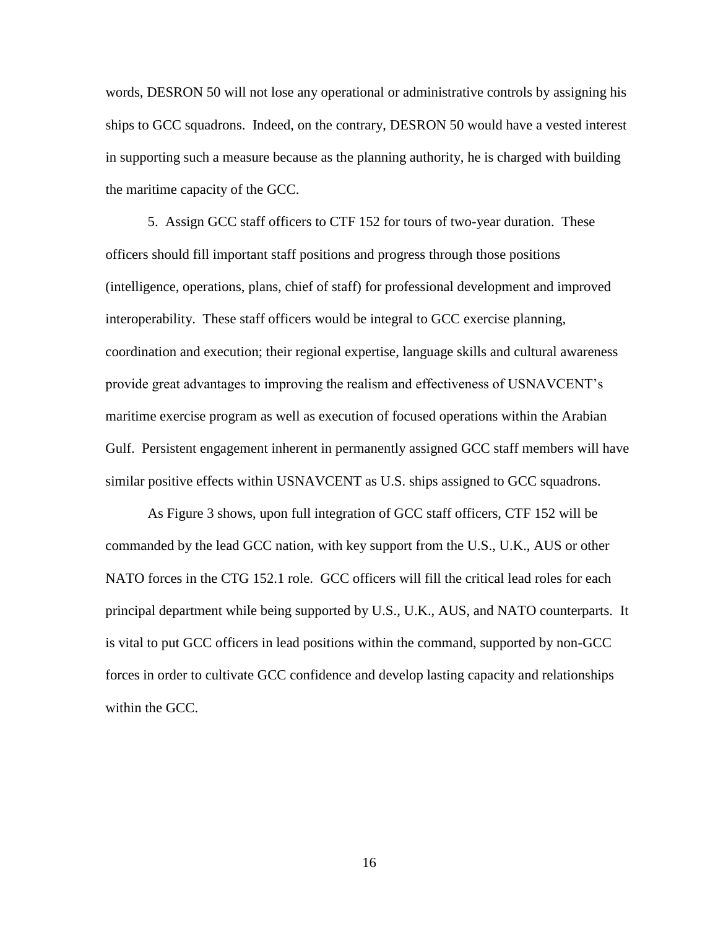words, DESRON 50 will not lose any operational or administrative controls by assigning his ships to GCC squadrons. Indeed, on the contrary, DESRON 50 would have a vested interest in supporting such a measure because as the planning authority, he is charged with building the maritime capacity of the GCC.

5. Assign GCC staff officers to CTF 152 for tours of two-year duration. These officers should fill important staff positions and progress through those positions (intelligence, operations, plans, chief of staff) for professional development and improved interoperability. These staff officers would be integral to GCC exercise planning, coordination and execution; their regional expertise, language skills and cultural awareness provide great advantages to improving the realism and effectiveness of USNAVCENT's maritime exercise program as well as execution of focused operations within the Arabian Gulf. Persistent engagement inherent in permanently assigned GCC staff members will have similar positive effects within USNAVCENT as U.S. ships assigned to GCC squadrons.

As Figure 3 shows, upon full integration of GCC staff officers, CTF 152 will be commanded by the lead GCC nation, with key support from the U.S., U.K., AUS or other NATO forces in the CTG 152.1 role. GCC officers will fill the critical lead roles for each principal department while being supported by U.S., U.K., AUS, and NATO counterparts. It is vital to put GCC officers in lead positions within the command, supported by non-GCC forces in order to cultivate GCC confidence and develop lasting capacity and relationships within the GCC.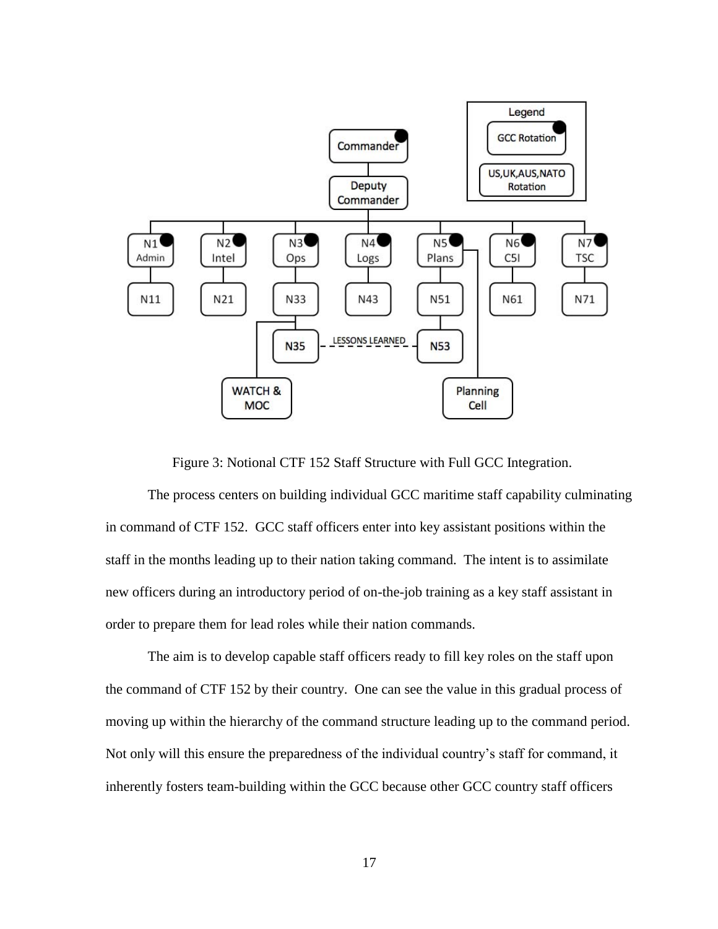

Figure 3: Notional CTF 152 Staff Structure with Full GCC Integration.

The process centers on building individual GCC maritime staff capability culminating in command of CTF 152. GCC staff officers enter into key assistant positions within the staff in the months leading up to their nation taking command. The intent is to assimilate new officers during an introductory period of on-the-job training as a key staff assistant in order to prepare them for lead roles while their nation commands.

The aim is to develop capable staff officers ready to fill key roles on the staff upon the command of CTF 152 by their country. One can see the value in this gradual process of moving up within the hierarchy of the command structure leading up to the command period. Not only will this ensure the preparedness of the individual country's staff for command, it inherently fosters team-building within the GCC because other GCC country staff officers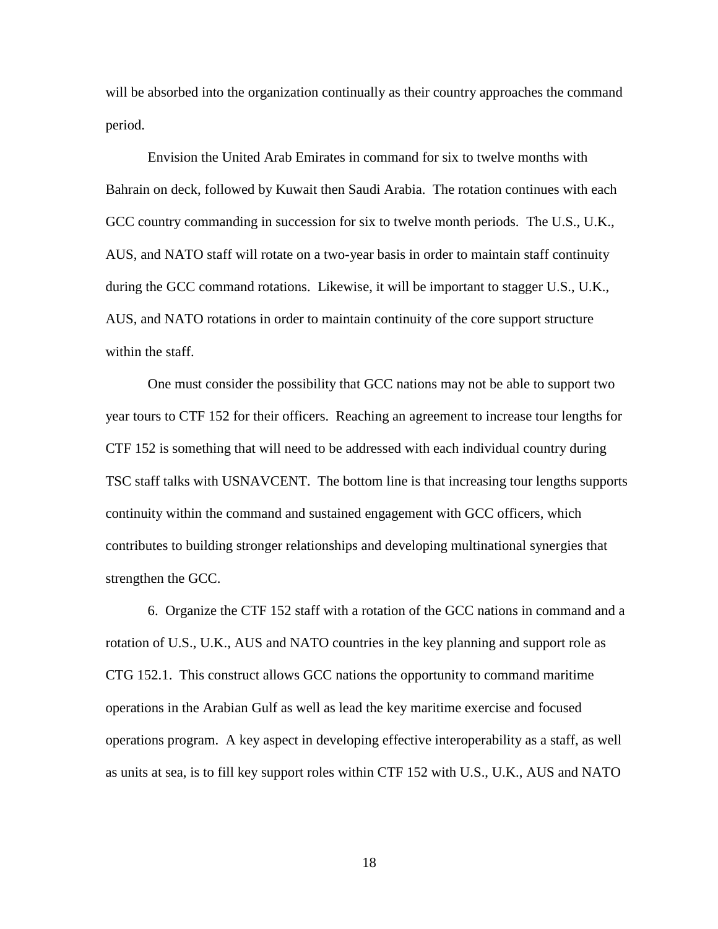will be absorbed into the organization continually as their country approaches the command period.

Envision the United Arab Emirates in command for six to twelve months with Bahrain on deck, followed by Kuwait then Saudi Arabia. The rotation continues with each GCC country commanding in succession for six to twelve month periods. The U.S., U.K., AUS, and NATO staff will rotate on a two-year basis in order to maintain staff continuity during the GCC command rotations. Likewise, it will be important to stagger U.S., U.K., AUS, and NATO rotations in order to maintain continuity of the core support structure within the staff.

One must consider the possibility that GCC nations may not be able to support two year tours to CTF 152 for their officers. Reaching an agreement to increase tour lengths for CTF 152 is something that will need to be addressed with each individual country during TSC staff talks with USNAVCENT. The bottom line is that increasing tour lengths supports continuity within the command and sustained engagement with GCC officers, which contributes to building stronger relationships and developing multinational synergies that strengthen the GCC.

6. Organize the CTF 152 staff with a rotation of the GCC nations in command and a rotation of U.S., U.K., AUS and NATO countries in the key planning and support role as CTG 152.1. This construct allows GCC nations the opportunity to command maritime operations in the Arabian Gulf as well as lead the key maritime exercise and focused operations program. A key aspect in developing effective interoperability as a staff, as well as units at sea, is to fill key support roles within CTF 152 with U.S., U.K., AUS and NATO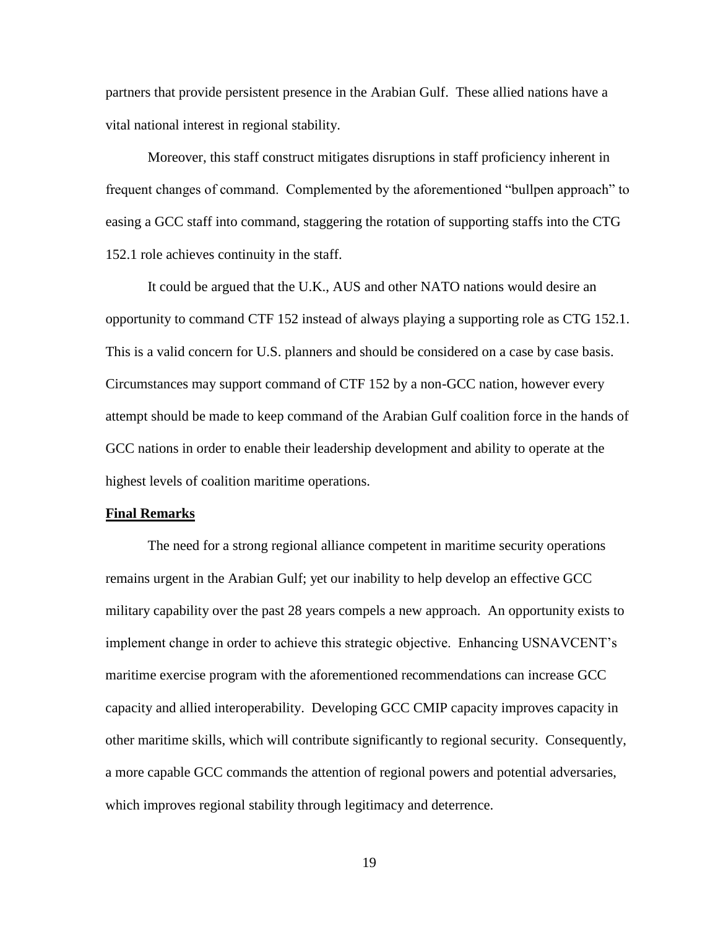partners that provide persistent presence in the Arabian Gulf. These allied nations have a vital national interest in regional stability.

Moreover, this staff construct mitigates disruptions in staff proficiency inherent in frequent changes of command. Complemented by the aforementioned "bullpen approach" to easing a GCC staff into command, staggering the rotation of supporting staffs into the CTG 152.1 role achieves continuity in the staff.

It could be argued that the U.K., AUS and other NATO nations would desire an opportunity to command CTF 152 instead of always playing a supporting role as CTG 152.1. This is a valid concern for U.S. planners and should be considered on a case by case basis. Circumstances may support command of CTF 152 by a non-GCC nation, however every attempt should be made to keep command of the Arabian Gulf coalition force in the hands of GCC nations in order to enable their leadership development and ability to operate at the highest levels of coalition maritime operations.

#### **Final Remarks**

The need for a strong regional alliance competent in maritime security operations remains urgent in the Arabian Gulf; yet our inability to help develop an effective GCC military capability over the past 28 years compels a new approach. An opportunity exists to implement change in order to achieve this strategic objective. Enhancing USNAVCENT's maritime exercise program with the aforementioned recommendations can increase GCC capacity and allied interoperability. Developing GCC CMIP capacity improves capacity in other maritime skills, which will contribute significantly to regional security. Consequently, a more capable GCC commands the attention of regional powers and potential adversaries, which improves regional stability through legitimacy and deterrence.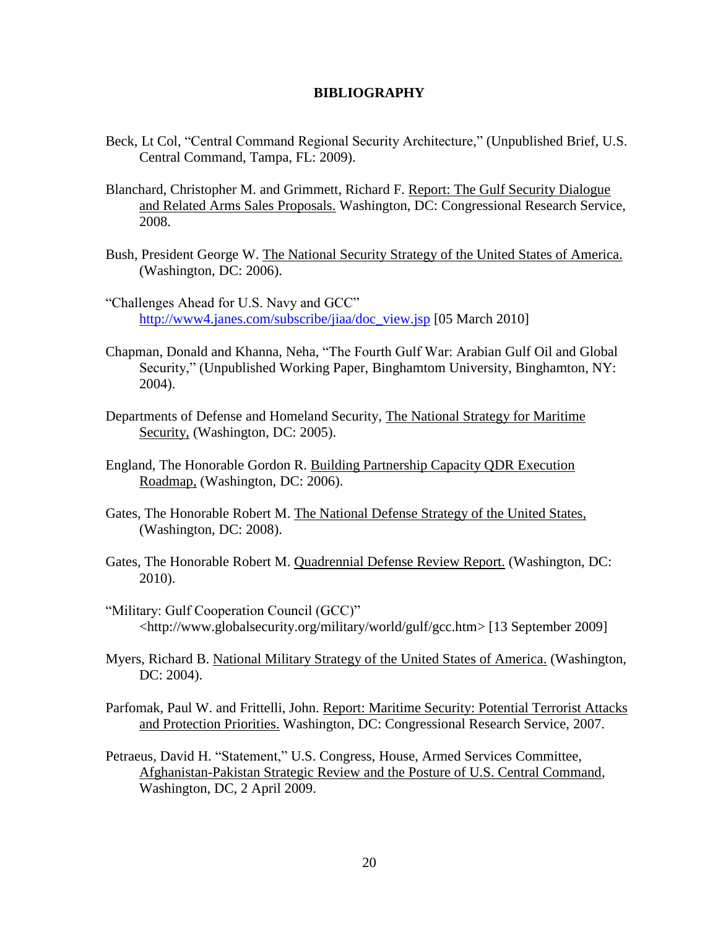#### **BIBLIOGRAPHY**

- Beck, Lt Col, "Central Command Regional Security Architecture," (Unpublished Brief, U.S. Central Command, Tampa, FL: 2009).
- Blanchard, Christopher M. and Grimmett, Richard F. Report: The Gulf Security Dialogue and Related Arms Sales Proposals. Washington, DC: Congressional Research Service, 2008.
- Bush, President George W. The National Security Strategy of the United States of America. (Washington, DC: 2006).
- "Challenges Ahead for U.S. Navy and GCC" [http://www4.janes.com/subscribe/jiaa/doc\\_view.jsp](http://www4.janes.com/subscribe/jiaa/doc_view.jsp) [05 March 2010]
- Chapman, Donald and Khanna, Neha, "The Fourth Gulf War: Arabian Gulf Oil and Global Security," (Unpublished Working Paper, Binghamtom University, Binghamton, NY: 2004).
- Departments of Defense and Homeland Security, The National Strategy for Maritime Security, (Washington, DC: 2005).
- England, The Honorable Gordon R. Building Partnership Capacity QDR Execution Roadmap, (Washington, DC: 2006).
- Gates, The Honorable Robert M. The National Defense Strategy of the United States, (Washington, DC: 2008).
- Gates, The Honorable Robert M. Quadrennial Defense Review Report. (Washington, DC: 2010).
- "Military: Gulf Cooperation Council (GCC)" <http://www.globalsecurity.org/military/world/gulf/gcc.htm> [13 September 2009]
- Myers, Richard B. National Military Strategy of the United States of America. (Washington, DC: 2004).
- Parfomak, Paul W. and Frittelli, John. Report: Maritime Security: Potential Terrorist Attacks and Protection Priorities. Washington, DC: Congressional Research Service, 2007.
- Petraeus, David H. "Statement," U.S. Congress, House, Armed Services Committee, Afghanistan-Pakistan Strategic Review and the Posture of U.S. Central Command*,*  Washington, DC, 2 April 2009.